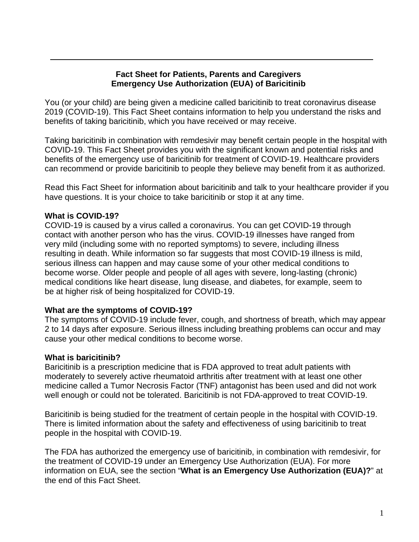### **Fact Sheet for Patients, Parents and Caregivers Emergency Use Authorization (EUA) of Baricitinib**

You (or your child) are being given a medicine called baricitinib to treat coronavirus disease 2019 (COVID-19). This Fact Sheet contains information to help you understand the risks and benefits of taking baricitinib, which you have received or may receive.

Taking baricitinib in combination with remdesivir may benefit certain people in the hospital with COVID-19. This Fact Sheet provides you with the significant known and potential risks and benefits of the emergency use of baricitinib for treatment of COVID-19. Healthcare providers can recommend or provide baricitinib to people they believe may benefit from it as authorized.

Read this Fact Sheet for information about baricitinib and talk to your healthcare provider if you have questions. It is your choice to take baricitinib or stop it at any time.

### **What is COVID-19?**

COVID-19 is caused by a virus called a coronavirus. You can get COVID-19 through contact with another person who has the virus. COVID-19 illnesses have ranged from very mild (including some with no reported symptoms) to severe, including illness resulting in death. While information so far suggests that most COVID-19 illness is mild, serious illness can happen and may cause some of your other medical conditions to become worse. Older people and people of all ages with severe, long-lasting (chronic) medical conditions like heart disease, lung disease, and diabetes, for example, seem to be at higher risk of being hospitalized for COVID-19.

#### **What are the symptoms of COVID-19?**

The symptoms of COVID-19 include fever, cough, and shortness of breath, which may appear 2 to 14 days after exposure. Serious illness including breathing problems can occur and may cause your other medical conditions to become worse.

## **What is baricitinib?**

Baricitinib is a prescription medicine that is FDA approved to treat adult patients with moderately to severely active rheumatoid arthritis after treatment with at least one other medicine called a Tumor Necrosis Factor (TNF) antagonist has been used and did not work well enough or could not be tolerated. Baricitinib is not FDA-approved to treat COVID-19.

Baricitinib is being studied for the treatment of certain people in the hospital with COVID-19. There is limited information about the safety and effectiveness of using baricitinib to treat people in the hospital with COVID-19.

The FDA has authorized the emergency use of baricitinib, in combination with remdesivir, for the treatment of COVID-19 under an Emergency Use Authorization (EUA). For more information on EUA, see the section "**What is an Emergency Use Authorization (EUA)?**" at the end of this Fact Sheet.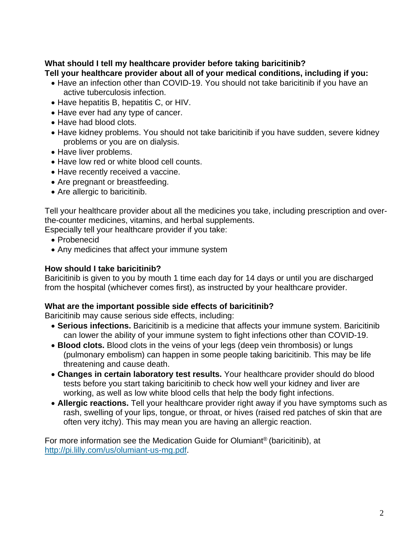#### **What should I tell my healthcare provider before taking baricitinib? Tell your healthcare provider about all of your medical conditions, including if you:**

- Have an infection other than COVID-19. You should not take baricitinib if you have an active tuberculosis infection.
- Have hepatitis B, hepatitis C, or HIV.
- Have ever had any type of cancer.
- Have had blood clots.
- Have kidney problems. You should not take baricitinib if you have sudden, severe kidney problems or you are on dialysis.
- Have liver problems.
- Have low red or white blood cell counts.
- Have recently received a vaccine.
- Are pregnant or breastfeeding.
- Are allergic to baricitinib.

Tell your healthcare provider about all the medicines you take, including prescription and overthe-counter medicines, vitamins, and herbal supplements.

Especially tell your healthcare provider if you take:

- Probenecid
- Any medicines that affect your immune system

### **How should I take baricitinib?**

Baricitinib is given to you by mouth 1 time each day for 14 days or until you are discharged from the hospital (whichever comes first), as instructed by your healthcare provider.

#### **What are the important possible side effects of baricitinib?**

Baricitinib may cause serious side effects, including:

- **Serious infections.** Baricitinib is a medicine that affects your immune system. Baricitinib can lower the ability of your immune system to fight infections other than COVID-19.
- **Blood clots.** Blood clots in the veins of your legs (deep vein thrombosis) or lungs (pulmonary embolism) can happen in some people taking baricitinib. This may be life threatening and cause death.
- **Changes in certain laboratory test results.** Your healthcare provider should do blood tests before you start taking baricitinib to check how well your kidney and liver are working, as well as low white blood cells that help the body fight infections.
- **Allergic reactions.** Tell your healthcare provider right away if you have symptoms such as rash, swelling of your lips, tongue, or throat, or hives (raised red patches of skin that are often very itchy). This may mean you are having an allergic reaction.

For more information see the Medication Guide for Olumiant® (baricitinib), at [http://pi.lilly.com/us/olumiant-us-mg.pdf.](http://pi.lilly.com/us/olumiant-us-mg.pdf)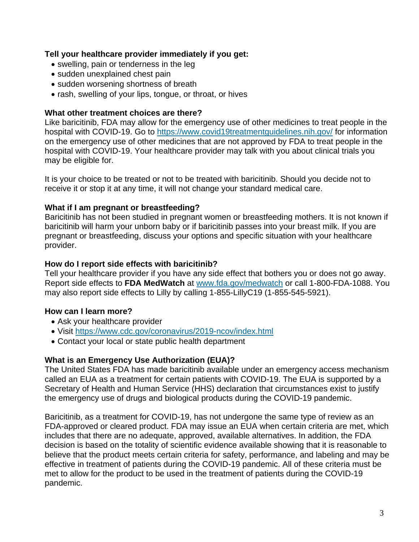### **Tell your healthcare provider immediately if you get:**

- swelling, pain or tenderness in the leg
- sudden unexplained chest pain
- sudden worsening shortness of breath
- rash, swelling of your lips, tongue, or throat, or hives

## **What other treatment choices are there?**

Like baricitinib, FDA may allow for the emergency use of other medicines to treat people in the hospital with COVID-19. Go to [https://www.covid19treatmentguidelines.nih.gov/](https://www.covid19treatmentguidelines.nih.gov) for information on the emergency use of other medicines that are not approved by FDA to treat people in the hospital with COVID-19. Your healthcare provider may talk with you about clinical trials you may be eligible for.

It is your choice to be treated or not to be treated with baricitinib. Should you decide not to receive it or stop it at any time, it will not change your standard medical care.

## **What if I am pregnant or breastfeeding?**

Baricitinib has not been studied in pregnant women or breastfeeding mothers. It is not known if baricitinib will harm your unborn baby or if baricitinib passes into your breast milk. If you are pregnant or breastfeeding, discuss your options and specific situation with your healthcare provider.

## **How do I report side effects with baricitinib?**

Tell your healthcare provider if you have any side effect that bothers you or does not go away. Report side effects to **FDA MedWatch** at <www.fda.gov/medwatch>or call 1-800-FDA-1088. You may also report side effects to Lilly by calling 1-855-LillyC19 (1-855-545-5921).

## **How can I learn more?**

- Ask your healthcare provider
- Visit<https://www.cdc.gov/coronavirus/2019-ncov/index.html>
- Contact your local or state public health department

# **What is an Emergency Use Authorization (EUA)?**

The United States FDA has made baricitinib available under an emergency access mechanism called an EUA as a treatment for certain patients with COVID-19. The EUA is supported by a Secretary of Health and Human Service (HHS) declaration that circumstances exist to justify the emergency use of drugs and biological products during the COVID-19 pandemic.

Baricitinib, as a treatment for COVID-19, has not undergone the same type of review as an FDA-approved or cleared product. FDA may issue an EUA when certain criteria are met, which includes that there are no adequate, approved, available alternatives. In addition, the FDA decision is based on the totality of scientific evidence available showing that it is reasonable to believe that the product meets certain criteria for safety, performance, and labeling and may be effective in treatment of patients during the COVID-19 pandemic. All of these criteria must be met to allow for the product to be used in the treatment of patients during the COVID-19 pandemic.